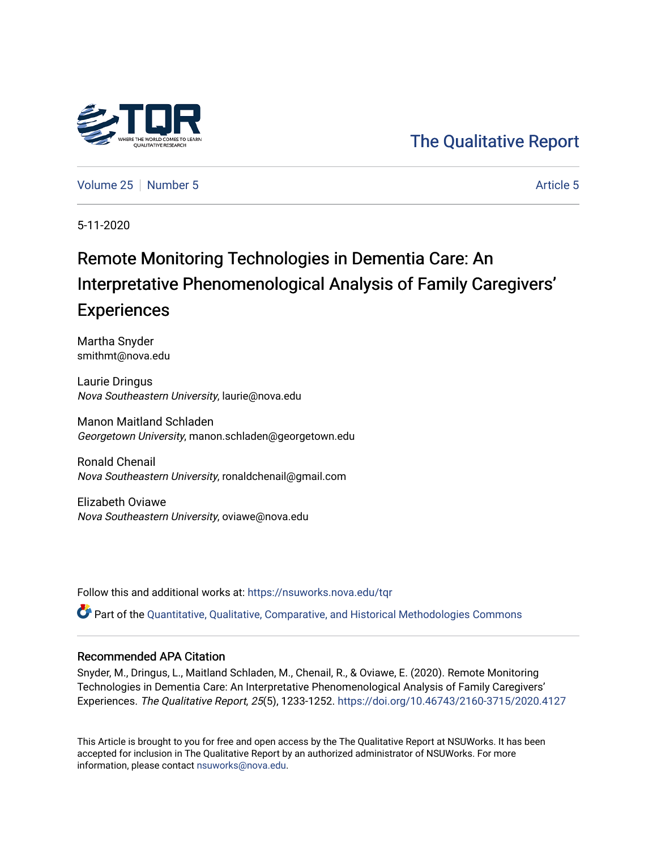

# [The Qualitative Report](https://nsuworks.nova.edu/tqr)

[Volume 25](https://nsuworks.nova.edu/tqr/vol25) [Number 5](https://nsuworks.nova.edu/tqr/vol25/iss5) [Article 5](https://nsuworks.nova.edu/tqr/vol25/iss5/5) Article 5

5-11-2020

# Remote Monitoring Technologies in Dementia Care: An Interpretative Phenomenological Analysis of Family Caregivers' **Experiences**

Martha Snyder smithmt@nova.edu

Laurie Dringus Nova Southeastern University, laurie@nova.edu

Manon Maitland Schladen Georgetown University, manon.schladen@georgetown.edu

Ronald Chenail Nova Southeastern University, ronaldchenail@gmail.com

Elizabeth Oviawe Nova Southeastern University, oviawe@nova.edu

Follow this and additional works at: [https://nsuworks.nova.edu/tqr](https://nsuworks.nova.edu/tqr?utm_source=nsuworks.nova.edu%2Ftqr%2Fvol25%2Fiss5%2F5&utm_medium=PDF&utm_campaign=PDFCoverPages) 

Part of the Quantitative, Qualitative, Comparative, and Historical Methodologies Commons

#### Recommended APA Citation

Snyder, M., Dringus, L., Maitland Schladen, M., Chenail, R., & Oviawe, E. (2020). Remote Monitoring Technologies in Dementia Care: An Interpretative Phenomenological Analysis of Family Caregivers' Experiences. The Qualitative Report, 25(5), 1233-1252. <https://doi.org/10.46743/2160-3715/2020.4127>

This Article is brought to you for free and open access by the The Qualitative Report at NSUWorks. It has been accepted for inclusion in The Qualitative Report by an authorized administrator of NSUWorks. For more information, please contact [nsuworks@nova.edu.](mailto:nsuworks@nova.edu)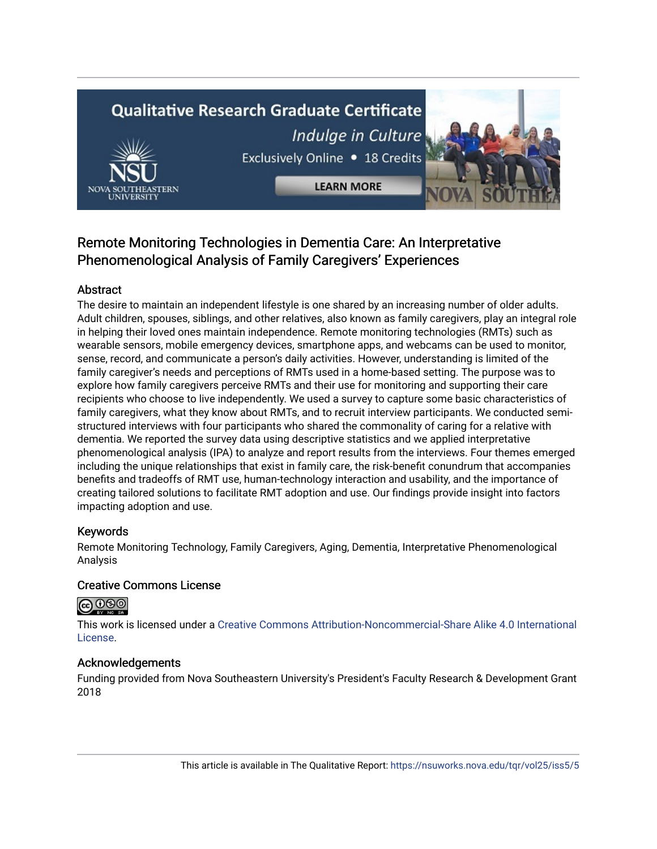# **Qualitative Research Graduate Certificate** Indulge in Culture Exclusively Online . 18 Credits



**LEARN MORE** 



## Remote Monitoring Technologies in Dementia Care: An Interpretative Phenomenological Analysis of Family Caregivers' Experiences

## Abstract

The desire to maintain an independent lifestyle is one shared by an increasing number of older adults. Adult children, spouses, siblings, and other relatives, also known as family caregivers, play an integral role in helping their loved ones maintain independence. Remote monitoring technologies (RMTs) such as wearable sensors, mobile emergency devices, smartphone apps, and webcams can be used to monitor, sense, record, and communicate a person's daily activities. However, understanding is limited of the family caregiver's needs and perceptions of RMTs used in a home-based setting. The purpose was to explore how family caregivers perceive RMTs and their use for monitoring and supporting their care recipients who choose to live independently. We used a survey to capture some basic characteristics of family caregivers, what they know about RMTs, and to recruit interview participants. We conducted semistructured interviews with four participants who shared the commonality of caring for a relative with dementia. We reported the survey data using descriptive statistics and we applied interpretative phenomenological analysis (IPA) to analyze and report results from the interviews. Four themes emerged including the unique relationships that exist in family care, the risk-benefit conundrum that accompanies benefits and tradeoffs of RMT use, human-technology interaction and usability, and the importance of creating tailored solutions to facilitate RMT adoption and use. Our findings provide insight into factors impacting adoption and use.

## Keywords

Remote Monitoring Technology, Family Caregivers, Aging, Dementia, Interpretative Phenomenological Analysis

### Creative Commons License



This work is licensed under a [Creative Commons Attribution-Noncommercial-Share Alike 4.0 International](https://creativecommons.org/licenses/by-nc-sa/4.0/)  [License](https://creativecommons.org/licenses/by-nc-sa/4.0/).

### Acknowledgements

Funding provided from Nova Southeastern University's President's Faculty Research & Development Grant 2018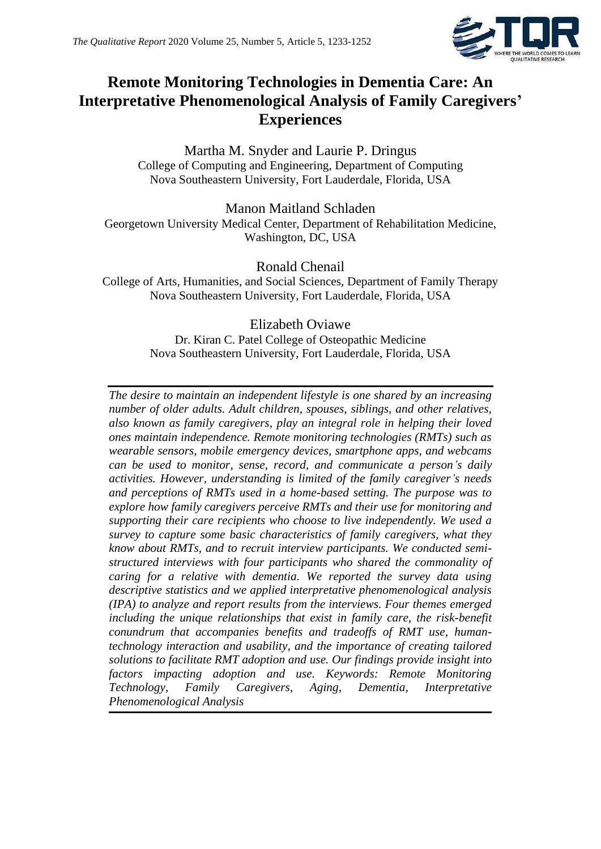

# **Remote Monitoring Technologies in Dementia Care: An Interpretative Phenomenological Analysis of Family Caregivers' Experiences**

Martha M. Snyder and Laurie P. Dringus College of Computing and Engineering, Department of Computing Nova Southeastern University, Fort Lauderdale, Florida, USA

Manon Maitland Schladen Georgetown University Medical Center, Department of Rehabilitation Medicine, Washington, DC, USA

Ronald Chenail

College of Arts, Humanities, and Social Sciences, Department of Family Therapy Nova Southeastern University, Fort Lauderdale, Florida, USA

Elizabeth Oviawe

Dr. Kiran C. Patel College of Osteopathic Medicine Nova Southeastern University, Fort Lauderdale, Florida, USA

*The desire to maintain an independent lifestyle is one shared by an increasing number of older adults. Adult children, spouses, siblings, and other relatives, also known as family caregivers, play an integral role in helping their loved ones maintain independence. Remote monitoring technologies (RMTs) such as wearable sensors, mobile emergency devices, smartphone apps, and webcams can be used to monitor, sense, record, and communicate a person's daily activities. However, understanding is limited of the family caregiver's needs and perceptions of RMTs used in a home-based setting. The purpose was to explore how family caregivers perceive RMTs and their use for monitoring and supporting their care recipients who choose to live independently. We used a survey to capture some basic characteristics of family caregivers, what they know about RMTs, and to recruit interview participants. We conducted semistructured interviews with four participants who shared the commonality of caring for a relative with dementia. We reported the survey data using descriptive statistics and we applied interpretative phenomenological analysis (IPA) to analyze and report results from the interviews. Four themes emerged including the unique relationships that exist in family care, the risk-benefit conundrum that accompanies benefits and tradeoffs of RMT use, humantechnology interaction and usability, and the importance of creating tailored solutions to facilitate RMT adoption and use. Our findings provide insight into factors impacting adoption and use. Keywords: Remote Monitoring Technology, Family Caregivers, Aging, Dementia, Interpretative Phenomenological Analysis*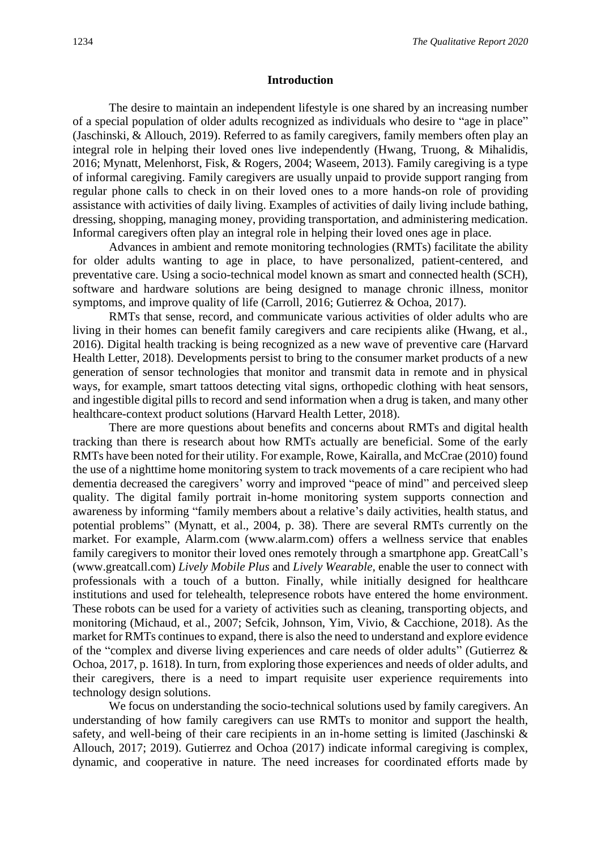#### **Introduction**

The desire to maintain an independent lifestyle is one shared by an increasing number of a special population of older adults recognized as individuals who desire to "age in place" (Jaschinski, & Allouch, 2019). Referred to as family caregivers, family members often play an integral role in helping their loved ones live independently (Hwang, Truong, & Mihalidis, 2016; Mynatt, Melenhorst, Fisk, & Rogers, 2004; Waseem, 2013). Family caregiving is a type of informal caregiving. Family caregivers are usually unpaid to provide support ranging from regular phone calls to check in on their loved ones to a more hands-on role of providing assistance with activities of daily living. Examples of activities of daily living include bathing, dressing, shopping, managing money, providing transportation, and administering medication. Informal caregivers often play an integral role in helping their loved ones age in place.

Advances in ambient and remote monitoring technologies (RMTs) facilitate the ability for older adults wanting to age in place, to have personalized, patient-centered, and preventative care. Using a socio-technical model known as smart and connected health (SCH), software and hardware solutions are being designed to manage chronic illness, monitor symptoms, and improve quality of life (Carroll, 2016; Gutierrez & Ochoa, 2017).

RMTs that sense, record, and communicate various activities of older adults who are living in their homes can benefit family caregivers and care recipients alike (Hwang, et al., 2016). Digital health tracking is being recognized as a new wave of preventive care (Harvard Health Letter, 2018). Developments persist to bring to the consumer market products of a new generation of sensor technologies that monitor and transmit data in remote and in physical ways, for example, smart tattoos detecting vital signs, orthopedic clothing with heat sensors, and ingestible digital pills to record and send information when a drug is taken, and many other healthcare-context product solutions (Harvard Health Letter, 2018).

There are more questions about benefits and concerns about RMTs and digital health tracking than there is research about how RMTs actually are beneficial. Some of the early RMTs have been noted for their utility. For example, Rowe, Kairalla, and McCrae (2010) found the use of a nighttime home monitoring system to track movements of a care recipient who had dementia decreased the caregivers' worry and improved "peace of mind" and perceived sleep quality. The digital family portrait in-home monitoring system supports connection and awareness by informing "family members about a relative's daily activities, health status, and potential problems" (Mynatt, et al., 2004, p. 38). There are several RMTs currently on the market. For example, Alarm.com (www.alarm.com) offers a wellness service that enables family caregivers to monitor their loved ones remotely through a smartphone app. GreatCall's (www.greatcall.com) *Lively Mobile Plus* and *Lively Wearable*, enable the user to connect with professionals with a touch of a button. Finally, while initially designed for healthcare institutions and used for telehealth, telepresence robots have entered the home environment. These robots can be used for a variety of activities such as cleaning, transporting objects, and monitoring (Michaud, et al., 2007; Sefcik, Johnson, Yim, Vivio, & Cacchione, 2018). As the market for RMTs continues to expand, there is also the need to understand and explore evidence of the "complex and diverse living experiences and care needs of older adults" (Gutierrez & Ochoa, 2017, p. 1618). In turn, from exploring those experiences and needs of older adults, and their caregivers, there is a need to impart requisite user experience requirements into technology design solutions.

We focus on understanding the socio-technical solutions used by family caregivers. An understanding of how family caregivers can use RMTs to monitor and support the health, safety, and well-being of their care recipients in an in-home setting is limited (Jaschinski & Allouch, 2017; 2019). Gutierrez and Ochoa (2017) indicate informal caregiving is complex, dynamic, and cooperative in nature. The need increases for coordinated efforts made by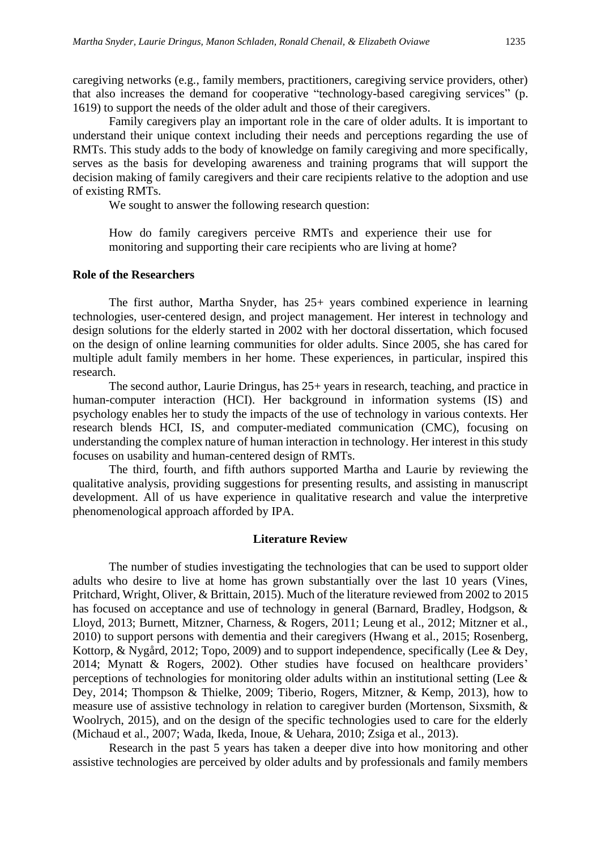caregiving networks (e.g., family members, practitioners, caregiving service providers, other) that also increases the demand for cooperative "technology-based caregiving services" (p. 1619) to support the needs of the older adult and those of their caregivers.

Family caregivers play an important role in the care of older adults. It is important to understand their unique context including their needs and perceptions regarding the use of RMTs. This study adds to the body of knowledge on family caregiving and more specifically, serves as the basis for developing awareness and training programs that will support the decision making of family caregivers and their care recipients relative to the adoption and use of existing RMTs.

We sought to answer the following research question:

How do family caregivers perceive RMTs and experience their use for monitoring and supporting their care recipients who are living at home?

#### **Role of the Researchers**

The first author, Martha Snyder, has 25+ years combined experience in learning technologies, user-centered design, and project management. Her interest in technology and design solutions for the elderly started in 2002 with her doctoral dissertation, which focused on the design of online learning communities for older adults. Since 2005, she has cared for multiple adult family members in her home. These experiences, in particular, inspired this research.

The second author, Laurie Dringus, has 25+ years in research, teaching, and practice in human-computer interaction (HCI). Her background in information systems (IS) and psychology enables her to study the impacts of the use of technology in various contexts. Her research blends HCI, IS, and computer-mediated communication (CMC), focusing on understanding the complex nature of human interaction in technology. Her interest in this study focuses on usability and human-centered design of RMTs.

The third, fourth, and fifth authors supported Martha and Laurie by reviewing the qualitative analysis, providing suggestions for presenting results, and assisting in manuscript development. All of us have experience in qualitative research and value the interpretive phenomenological approach afforded by IPA.

#### **Literature Review**

The number of studies investigating the technologies that can be used to support older adults who desire to live at home has grown substantially over the last 10 years (Vines, Pritchard, Wright, Oliver, & Brittain, 2015). Much of the literature reviewed from 2002 to 2015 has focused on acceptance and use of technology in general (Barnard, Bradley, Hodgson, & Lloyd, 2013; Burnett, Mitzner, Charness, & Rogers, 2011; Leung et al., 2012; Mitzner et al., 2010) to support persons with dementia and their caregivers (Hwang et al., 2015; Rosenberg, Kottorp, & Nygård, 2012; Topo, 2009) and to support independence, specifically (Lee & Dey, 2014; Mynatt & Rogers, 2002). Other studies have focused on healthcare providers' perceptions of technologies for monitoring older adults within an institutional setting (Lee & Dey, 2014; Thompson & Thielke, 2009; Tiberio, Rogers, Mitzner, & Kemp, 2013), how to measure use of assistive technology in relation to caregiver burden (Mortenson, Sixsmith, & Woolrych, 2015), and on the design of the specific technologies used to care for the elderly (Michaud et al., 2007; Wada, Ikeda, Inoue, & Uehara, 2010; Zsiga et al., 2013).

Research in the past 5 years has taken a deeper dive into how monitoring and other assistive technologies are perceived by older adults and by professionals and family members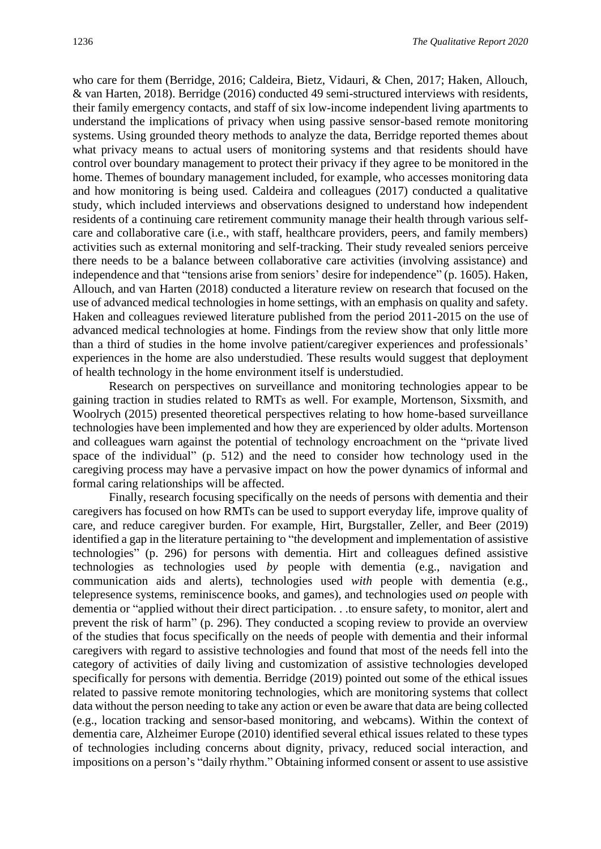who care for them (Berridge, 2016; Caldeira, Bietz, Vidauri, & Chen, 2017; Haken, Allouch, & van Harten, 2018). Berridge (2016) conducted 49 semi-structured interviews with residents, their family emergency contacts, and staff of six low-income independent living apartments to understand the implications of privacy when using passive sensor-based remote monitoring systems. Using grounded theory methods to analyze the data, Berridge reported themes about what privacy means to actual users of monitoring systems and that residents should have control over boundary management to protect their privacy if they agree to be monitored in the home. Themes of boundary management included, for example, who accesses monitoring data and how monitoring is being used. Caldeira and colleagues (2017) conducted a qualitative study, which included interviews and observations designed to understand how independent residents of a continuing care retirement community manage their health through various selfcare and collaborative care (i.e., with staff, healthcare providers, peers, and family members) activities such as external monitoring and self-tracking. Their study revealed seniors perceive there needs to be a balance between collaborative care activities (involving assistance) and independence and that "tensions arise from seniors' desire for independence" (p. 1605). Haken, Allouch, and van Harten (2018) conducted a literature review on research that focused on the use of advanced medical technologies in home settings, with an emphasis on quality and safety. Haken and colleagues reviewed literature published from the period 2011-2015 on the use of advanced medical technologies at home. Findings from the review show that only little more than a third of studies in the home involve patient/caregiver experiences and professionals' experiences in the home are also understudied. These results would suggest that deployment of health technology in the home environment itself is understudied.

Research on perspectives on surveillance and monitoring technologies appear to be gaining traction in studies related to RMTs as well. For example, Mortenson, Sixsmith, and Woolrych (2015) presented theoretical perspectives relating to how home-based surveillance technologies have been implemented and how they are experienced by older adults. Mortenson and colleagues warn against the potential of technology encroachment on the "private lived space of the individual" (p. 512) and the need to consider how technology used in the caregiving process may have a pervasive impact on how the power dynamics of informal and formal caring relationships will be affected.

Finally, research focusing specifically on the needs of persons with dementia and their caregivers has focused on how RMTs can be used to support everyday life, improve quality of care, and reduce caregiver burden. For example, Hirt, Burgstaller, Zeller, and Beer (2019) identified a gap in the literature pertaining to "the development and implementation of assistive technologies" (p. 296) for persons with dementia. Hirt and colleagues defined assistive technologies as technologies used *by* people with dementia (e.g., navigation and communication aids and alerts), technologies used *with* people with dementia (e.g., telepresence systems, reminiscence books, and games), and technologies used *on* people with dementia or "applied without their direct participation. . .to ensure safety, to monitor, alert and prevent the risk of harm" (p. 296). They conducted a scoping review to provide an overview of the studies that focus specifically on the needs of people with dementia and their informal caregivers with regard to assistive technologies and found that most of the needs fell into the category of activities of daily living and customization of assistive technologies developed specifically for persons with dementia. Berridge (2019) pointed out some of the ethical issues related to passive remote monitoring technologies, which are monitoring systems that collect data without the person needing to take any action or even be aware that data are being collected (e.g., location tracking and sensor-based monitoring, and webcams). Within the context of dementia care, Alzheimer Europe (2010) identified several ethical issues related to these types of technologies including concerns about dignity, privacy, reduced social interaction, and impositions on a person's "daily rhythm." Obtaining informed consent or assent to use assistive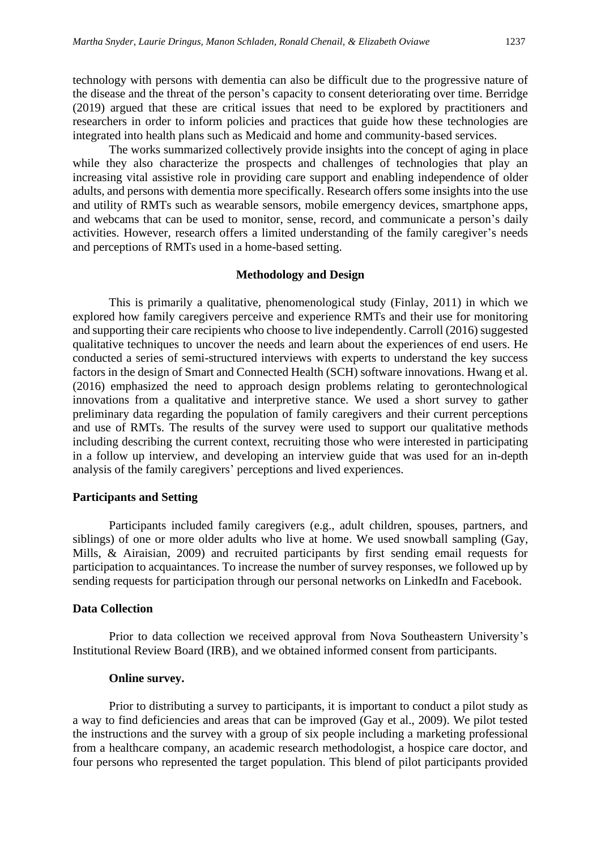technology with persons with dementia can also be difficult due to the progressive nature of the disease and the threat of the person's capacity to consent deteriorating over time. Berridge (2019) argued that these are critical issues that need to be explored by practitioners and researchers in order to inform policies and practices that guide how these technologies are integrated into health plans such as Medicaid and home and community-based services.

The works summarized collectively provide insights into the concept of aging in place while they also characterize the prospects and challenges of technologies that play an increasing vital assistive role in providing care support and enabling independence of older adults, and persons with dementia more specifically. Research offers some insights into the use and utility of RMTs such as wearable sensors, mobile emergency devices, smartphone apps, and webcams that can be used to monitor, sense, record, and communicate a person's daily activities. However, research offers a limited understanding of the family caregiver's needs and perceptions of RMTs used in a home-based setting.

#### **Methodology and Design**

This is primarily a qualitative, phenomenological study (Finlay, 2011) in which we explored how family caregivers perceive and experience RMTs and their use for monitoring and supporting their care recipients who choose to live independently. Carroll (2016) suggested qualitative techniques to uncover the needs and learn about the experiences of end users. He conducted a series of semi-structured interviews with experts to understand the key success factors in the design of Smart and Connected Health (SCH) software innovations. Hwang et al. (2016) emphasized the need to approach design problems relating to gerontechnological innovations from a qualitative and interpretive stance. We used a short survey to gather preliminary data regarding the population of family caregivers and their current perceptions and use of RMTs. The results of the survey were used to support our qualitative methods including describing the current context, recruiting those who were interested in participating in a follow up interview, and developing an interview guide that was used for an in-depth analysis of the family caregivers' perceptions and lived experiences.

#### **Participants and Setting**

Participants included family caregivers (e.g., adult children, spouses, partners, and siblings) of one or more older adults who live at home. We used snowball sampling (Gay, Mills, & Airaisian, 2009) and recruited participants by first sending email requests for participation to acquaintances. To increase the number of survey responses, we followed up by sending requests for participation through our personal networks on LinkedIn and Facebook.

#### **Data Collection**

Prior to data collection we received approval from Nova Southeastern University's Institutional Review Board (IRB), and we obtained informed consent from participants.

#### **Online survey.**

Prior to distributing a survey to participants, it is important to conduct a pilot study as a way to find deficiencies and areas that can be improved (Gay et al., 2009). We pilot tested the instructions and the survey with a group of six people including a marketing professional from a healthcare company, an academic research methodologist, a hospice care doctor, and four persons who represented the target population. This blend of pilot participants provided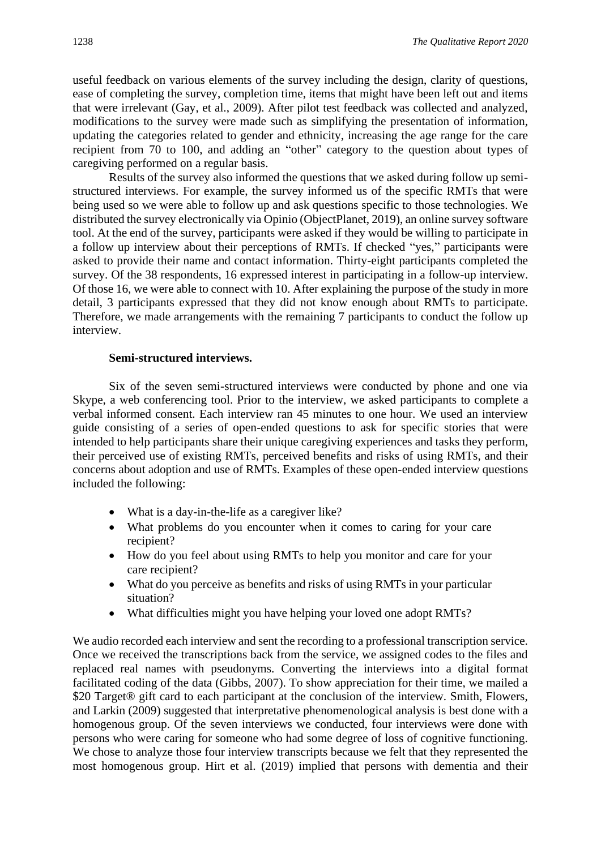useful feedback on various elements of the survey including the design, clarity of questions, ease of completing the survey, completion time, items that might have been left out and items that were irrelevant (Gay, et al., 2009). After pilot test feedback was collected and analyzed, modifications to the survey were made such as simplifying the presentation of information, updating the categories related to gender and ethnicity, increasing the age range for the care recipient from 70 to 100, and adding an "other" category to the question about types of caregiving performed on a regular basis.

Results of the survey also informed the questions that we asked during follow up semistructured interviews. For example, the survey informed us of the specific RMTs that were being used so we were able to follow up and ask questions specific to those technologies. We distributed the survey electronically via Opinio (ObjectPlanet, 2019), an online survey software tool. At the end of the survey, participants were asked if they would be willing to participate in a follow up interview about their perceptions of RMTs. If checked "yes," participants were asked to provide their name and contact information. Thirty-eight participants completed the survey. Of the 38 respondents, 16 expressed interest in participating in a follow-up interview. Of those 16, we were able to connect with 10. After explaining the purpose of the study in more detail, 3 participants expressed that they did not know enough about RMTs to participate. Therefore, we made arrangements with the remaining 7 participants to conduct the follow up interview.

#### **Semi-structured interviews.**

Six of the seven semi-structured interviews were conducted by phone and one via Skype, a web conferencing tool. Prior to the interview, we asked participants to complete a verbal informed consent. Each interview ran 45 minutes to one hour. We used an interview guide consisting of a series of open-ended questions to ask for specific stories that were intended to help participants share their unique caregiving experiences and tasks they perform, their perceived use of existing RMTs, perceived benefits and risks of using RMTs, and their concerns about adoption and use of RMTs. Examples of these open-ended interview questions included the following:

- What is a day-in-the-life as a caregiver like?
- What problems do you encounter when it comes to caring for your care recipient?
- How do you feel about using RMTs to help you monitor and care for your care recipient?
- What do you perceive as benefits and risks of using RMTs in your particular situation?
- What difficulties might you have helping your loved one adopt RMTs?

We audio recorded each interview and sent the recording to a professional transcription service. Once we received the transcriptions back from the service, we assigned codes to the files and replaced real names with pseudonyms. Converting the interviews into a digital format facilitated coding of the data (Gibbs, 2007). To show appreciation for their time, we mailed a \$20 Target® gift card to each participant at the conclusion of the interview. Smith, Flowers, and Larkin (2009) suggested that interpretative phenomenological analysis is best done with a homogenous group. Of the seven interviews we conducted, four interviews were done with persons who were caring for someone who had some degree of loss of cognitive functioning. We chose to analyze those four interview transcripts because we felt that they represented the most homogenous group. Hirt et al. (2019) implied that persons with dementia and their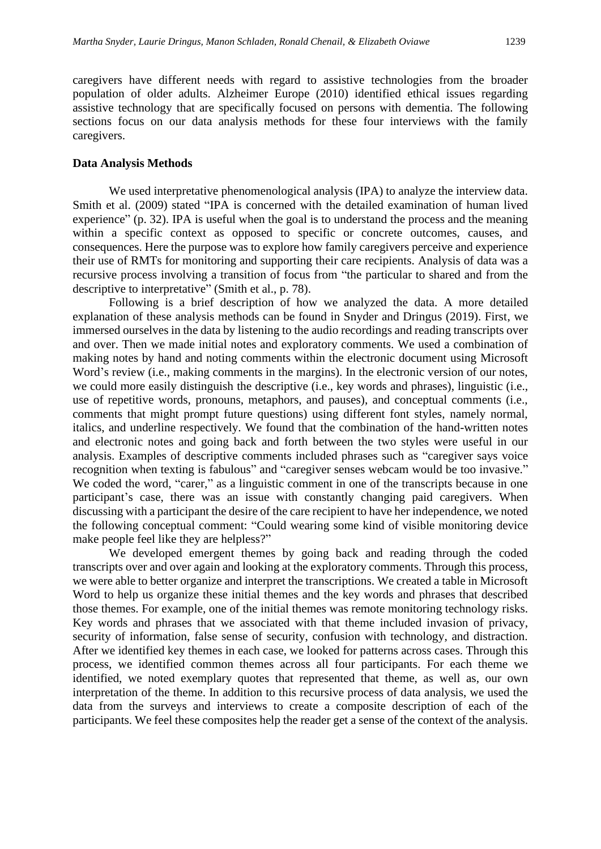caregivers have different needs with regard to assistive technologies from the broader population of older adults. Alzheimer Europe (2010) identified ethical issues regarding assistive technology that are specifically focused on persons with dementia. The following sections focus on our data analysis methods for these four interviews with the family caregivers.

#### **Data Analysis Methods**

We used interpretative phenomenological analysis (IPA) to analyze the interview data. Smith et al. (2009) stated "IPA is concerned with the detailed examination of human lived experience" (p. 32). IPA is useful when the goal is to understand the process and the meaning within a specific context as opposed to specific or concrete outcomes, causes, and consequences. Here the purpose was to explore how family caregivers perceive and experience their use of RMTs for monitoring and supporting their care recipients. Analysis of data was a recursive process involving a transition of focus from "the particular to shared and from the descriptive to interpretative" (Smith et al., p. 78).

Following is a brief description of how we analyzed the data. A more detailed explanation of these analysis methods can be found in Snyder and Dringus (2019). First, we immersed ourselves in the data by listening to the audio recordings and reading transcripts over and over. Then we made initial notes and exploratory comments. We used a combination of making notes by hand and noting comments within the electronic document using Microsoft Word's review (i.e., making comments in the margins). In the electronic version of our notes, we could more easily distinguish the descriptive (i.e., key words and phrases), linguistic (i.e., use of repetitive words, pronouns, metaphors, and pauses), and conceptual comments (i.e., comments that might prompt future questions) using different font styles, namely normal, italics, and underline respectively. We found that the combination of the hand-written notes and electronic notes and going back and forth between the two styles were useful in our analysis. Examples of descriptive comments included phrases such as "caregiver says voice recognition when texting is fabulous" and "caregiver senses webcam would be too invasive." We coded the word, "carer," as a linguistic comment in one of the transcripts because in one participant's case, there was an issue with constantly changing paid caregivers. When discussing with a participant the desire of the care recipient to have her independence, we noted the following conceptual comment: "Could wearing some kind of visible monitoring device make people feel like they are helpless?"

We developed emergent themes by going back and reading through the coded transcripts over and over again and looking at the exploratory comments. Through this process, we were able to better organize and interpret the transcriptions. We created a table in Microsoft Word to help us organize these initial themes and the key words and phrases that described those themes. For example, one of the initial themes was remote monitoring technology risks. Key words and phrases that we associated with that theme included invasion of privacy, security of information, false sense of security, confusion with technology, and distraction. After we identified key themes in each case, we looked for patterns across cases. Through this process, we identified common themes across all four participants. For each theme we identified, we noted exemplary quotes that represented that theme, as well as, our own interpretation of the theme. In addition to this recursive process of data analysis, we used the data from the surveys and interviews to create a composite description of each of the participants. We feel these composites help the reader get a sense of the context of the analysis.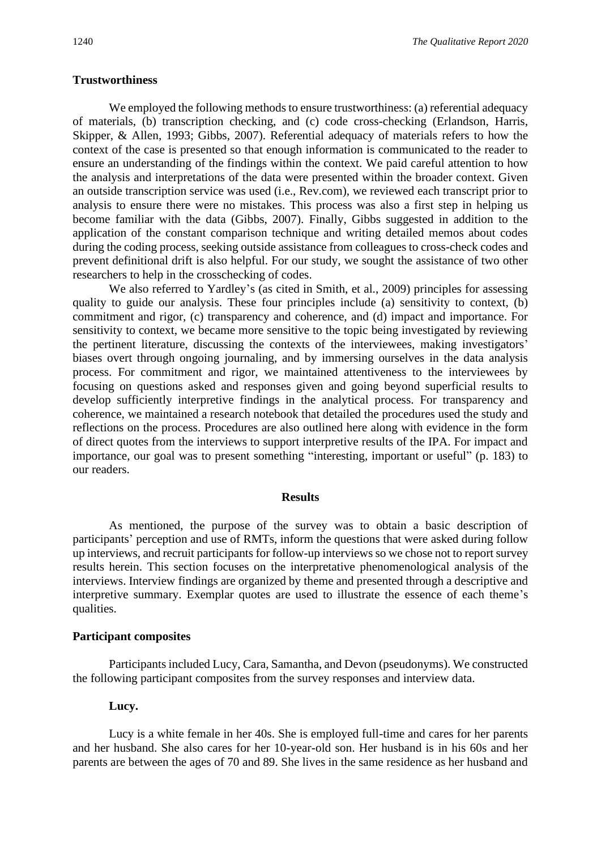#### **Trustworthiness**

We employed the following methods to ensure trustworthiness: (a) referential adequacy of materials, (b) transcription checking, and (c) code cross-checking (Erlandson, Harris, Skipper, & Allen, 1993; Gibbs, 2007). Referential adequacy of materials refers to how the context of the case is presented so that enough information is communicated to the reader to ensure an understanding of the findings within the context. We paid careful attention to how the analysis and interpretations of the data were presented within the broader context. Given an outside transcription service was used (i.e., Rev.com), we reviewed each transcript prior to analysis to ensure there were no mistakes. This process was also a first step in helping us become familiar with the data (Gibbs, 2007). Finally, Gibbs suggested in addition to the application of the constant comparison technique and writing detailed memos about codes during the coding process, seeking outside assistance from colleagues to cross-check codes and prevent definitional drift is also helpful. For our study, we sought the assistance of two other researchers to help in the crosschecking of codes.

We also referred to Yardley's (as cited in Smith, et al., 2009) principles for assessing quality to guide our analysis. These four principles include (a) sensitivity to context, (b) commitment and rigor, (c) transparency and coherence, and (d) impact and importance. For sensitivity to context, we became more sensitive to the topic being investigated by reviewing the pertinent literature, discussing the contexts of the interviewees, making investigators' biases overt through ongoing journaling, and by immersing ourselves in the data analysis process. For commitment and rigor, we maintained attentiveness to the interviewees by focusing on questions asked and responses given and going beyond superficial results to develop sufficiently interpretive findings in the analytical process. For transparency and coherence, we maintained a research notebook that detailed the procedures used the study and reflections on the process. Procedures are also outlined here along with evidence in the form of direct quotes from the interviews to support interpretive results of the IPA. For impact and importance, our goal was to present something "interesting, important or useful" (p. 183) to our readers.

#### **Results**

As mentioned, the purpose of the survey was to obtain a basic description of participants' perception and use of RMTs, inform the questions that were asked during follow up interviews, and recruit participants for follow-up interviews so we chose not to report survey results herein. This section focuses on the interpretative phenomenological analysis of the interviews. Interview findings are organized by theme and presented through a descriptive and interpretive summary. Exemplar quotes are used to illustrate the essence of each theme's qualities.

#### **Participant composites**

Participants included Lucy, Cara, Samantha, and Devon (pseudonyms). We constructed the following participant composites from the survey responses and interview data.

#### **Lucy.**

Lucy is a white female in her 40s. She is employed full-time and cares for her parents and her husband. She also cares for her 10-year-old son. Her husband is in his 60s and her parents are between the ages of 70 and 89. She lives in the same residence as her husband and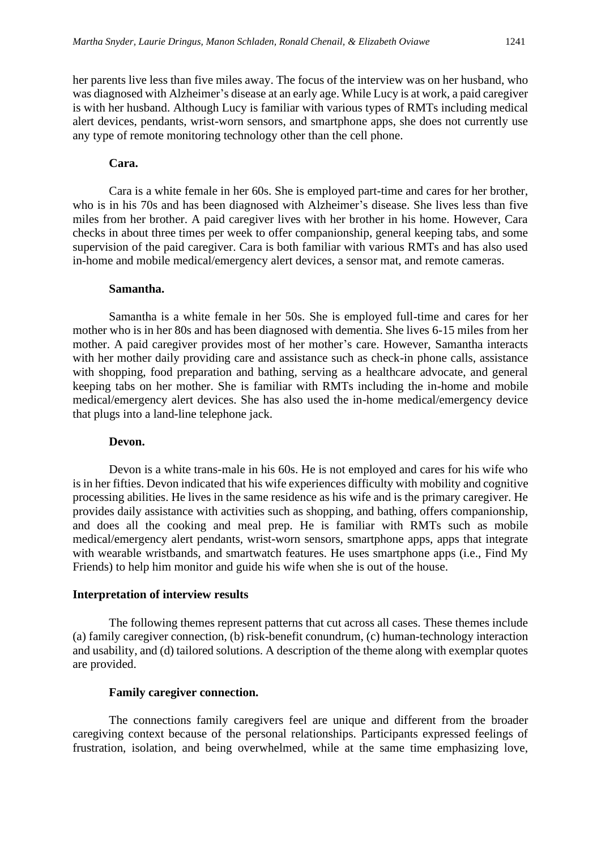her parents live less than five miles away. The focus of the interview was on her husband, who was diagnosed with Alzheimer's disease at an early age. While Lucy is at work, a paid caregiver is with her husband. Although Lucy is familiar with various types of RMTs including medical alert devices, pendants, wrist-worn sensors, and smartphone apps, she does not currently use any type of remote monitoring technology other than the cell phone.

#### **Cara.**

Cara is a white female in her 60s. She is employed part-time and cares for her brother, who is in his 70s and has been diagnosed with Alzheimer's disease. She lives less than five miles from her brother. A paid caregiver lives with her brother in his home. However, Cara checks in about three times per week to offer companionship, general keeping tabs, and some supervision of the paid caregiver. Cara is both familiar with various RMTs and has also used in-home and mobile medical/emergency alert devices, a sensor mat, and remote cameras.

#### **Samantha.**

Samantha is a white female in her 50s. She is employed full-time and cares for her mother who is in her 80s and has been diagnosed with dementia. She lives 6-15 miles from her mother. A paid caregiver provides most of her mother's care. However, Samantha interacts with her mother daily providing care and assistance such as check-in phone calls, assistance with shopping, food preparation and bathing, serving as a healthcare advocate, and general keeping tabs on her mother. She is familiar with RMTs including the in-home and mobile medical/emergency alert devices. She has also used the in-home medical/emergency device that plugs into a land-line telephone jack.

#### **Devon.**

Devon is a white trans-male in his 60s. He is not employed and cares for his wife who is in her fifties. Devon indicated that his wife experiences difficulty with mobility and cognitive processing abilities. He lives in the same residence as his wife and is the primary caregiver. He provides daily assistance with activities such as shopping, and bathing, offers companionship, and does all the cooking and meal prep. He is familiar with RMTs such as mobile medical/emergency alert pendants, wrist-worn sensors, smartphone apps, apps that integrate with wearable wristbands, and smartwatch features. He uses smartphone apps (i.e., Find My Friends) to help him monitor and guide his wife when she is out of the house.

#### **Interpretation of interview results**

The following themes represent patterns that cut across all cases. These themes include (a) family caregiver connection, (b) risk-benefit conundrum, (c) human-technology interaction and usability, and (d) tailored solutions. A description of the theme along with exemplar quotes are provided.

#### **Family caregiver connection.**

The connections family caregivers feel are unique and different from the broader caregiving context because of the personal relationships. Participants expressed feelings of frustration, isolation, and being overwhelmed, while at the same time emphasizing love,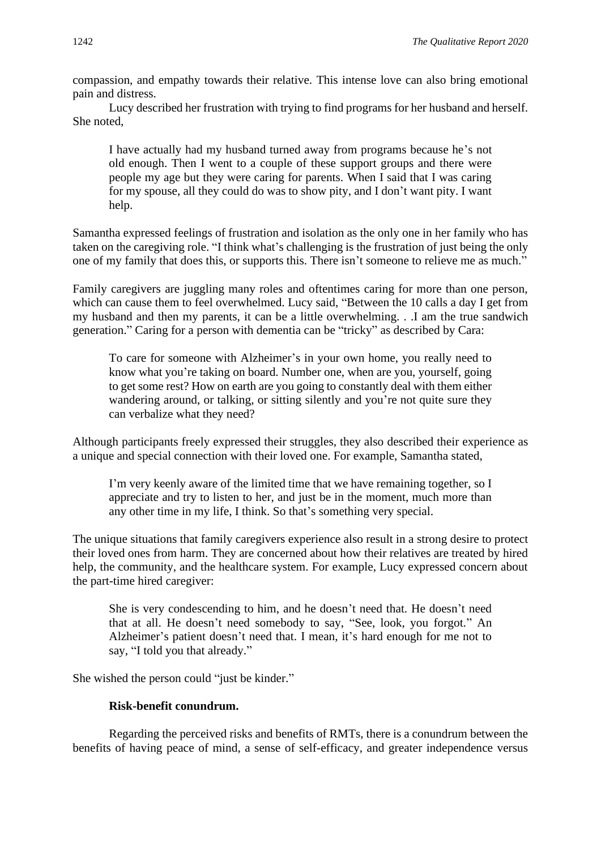compassion, and empathy towards their relative. This intense love can also bring emotional pain and distress.

Lucy described her frustration with trying to find programs for her husband and herself. She noted,

I have actually had my husband turned away from programs because he's not old enough. Then I went to a couple of these support groups and there were people my age but they were caring for parents. When I said that I was caring for my spouse, all they could do was to show pity, and I don't want pity. I want help.

Samantha expressed feelings of frustration and isolation as the only one in her family who has taken on the caregiving role. "I think what's challenging is the frustration of just being the only one of my family that does this, or supports this. There isn't someone to relieve me as much."

Family caregivers are juggling many roles and oftentimes caring for more than one person, which can cause them to feel overwhelmed. Lucy said, "Between the 10 calls a day I get from my husband and then my parents, it can be a little overwhelming. . .I am the true sandwich generation." Caring for a person with dementia can be "tricky" as described by Cara:

To care for someone with Alzheimer's in your own home, you really need to know what you're taking on board. Number one, when are you, yourself, going to get some rest? How on earth are you going to constantly deal with them either wandering around, or talking, or sitting silently and you're not quite sure they can verbalize what they need?

Although participants freely expressed their struggles, they also described their experience as a unique and special connection with their loved one. For example, Samantha stated,

I'm very keenly aware of the limited time that we have remaining together, so I appreciate and try to listen to her, and just be in the moment, much more than any other time in my life, I think. So that's something very special.

The unique situations that family caregivers experience also result in a strong desire to protect their loved ones from harm. They are concerned about how their relatives are treated by hired help, the community, and the healthcare system. For example, Lucy expressed concern about the part-time hired caregiver:

She is very condescending to him, and he doesn't need that. He doesn't need that at all. He doesn't need somebody to say, "See, look, you forgot." An Alzheimer's patient doesn't need that. I mean, it's hard enough for me not to say, "I told you that already."

She wished the person could "just be kinder."

#### **Risk-benefit conundrum.**

Regarding the perceived risks and benefits of RMTs, there is a conundrum between the benefits of having peace of mind, a sense of self-efficacy, and greater independence versus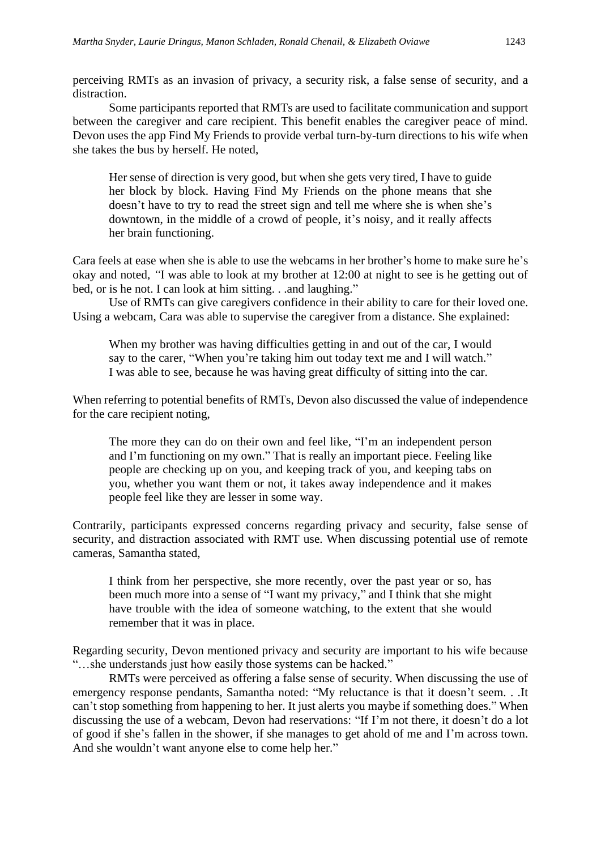perceiving RMTs as an invasion of privacy, a security risk, a false sense of security, and a distraction.

Some participants reported that RMTs are used to facilitate communication and support between the caregiver and care recipient. This benefit enables the caregiver peace of mind. Devon uses the app Find My Friends to provide verbal turn-by-turn directions to his wife when she takes the bus by herself. He noted,

Her sense of direction is very good, but when she gets very tired, I have to guide her block by block. Having Find My Friends on the phone means that she doesn't have to try to read the street sign and tell me where she is when she's downtown, in the middle of a crowd of people, it's noisy, and it really affects her brain functioning.

Cara feels at ease when she is able to use the webcams in her brother's home to make sure he's okay and noted, *"*I was able to look at my brother at 12:00 at night to see is he getting out of bed, or is he not. I can look at him sitting. . .and laughing."

Use of RMTs can give caregivers confidence in their ability to care for their loved one. Using a webcam, Cara was able to supervise the caregiver from a distance. She explained:

When my brother was having difficulties getting in and out of the car, I would say to the carer, "When you're taking him out today text me and I will watch." I was able to see, because he was having great difficulty of sitting into the car.

When referring to potential benefits of RMTs, Devon also discussed the value of independence for the care recipient noting,

The more they can do on their own and feel like, "I'm an independent person and I'm functioning on my own." That is really an important piece. Feeling like people are checking up on you, and keeping track of you, and keeping tabs on you, whether you want them or not, it takes away independence and it makes people feel like they are lesser in some way.

Contrarily, participants expressed concerns regarding privacy and security, false sense of security, and distraction associated with RMT use. When discussing potential use of remote cameras, Samantha stated,

I think from her perspective, she more recently, over the past year or so, has been much more into a sense of "I want my privacy," and I think that she might have trouble with the idea of someone watching, to the extent that she would remember that it was in place.

Regarding security, Devon mentioned privacy and security are important to his wife because "…she understands just how easily those systems can be hacked."

RMTs were perceived as offering a false sense of security. When discussing the use of emergency response pendants, Samantha noted: "My reluctance is that it doesn't seem. . .It can't stop something from happening to her. It just alerts you maybe if something does." When discussing the use of a webcam, Devon had reservations: "If I'm not there, it doesn't do a lot of good if she's fallen in the shower, if she manages to get ahold of me and I'm across town. And she wouldn't want anyone else to come help her."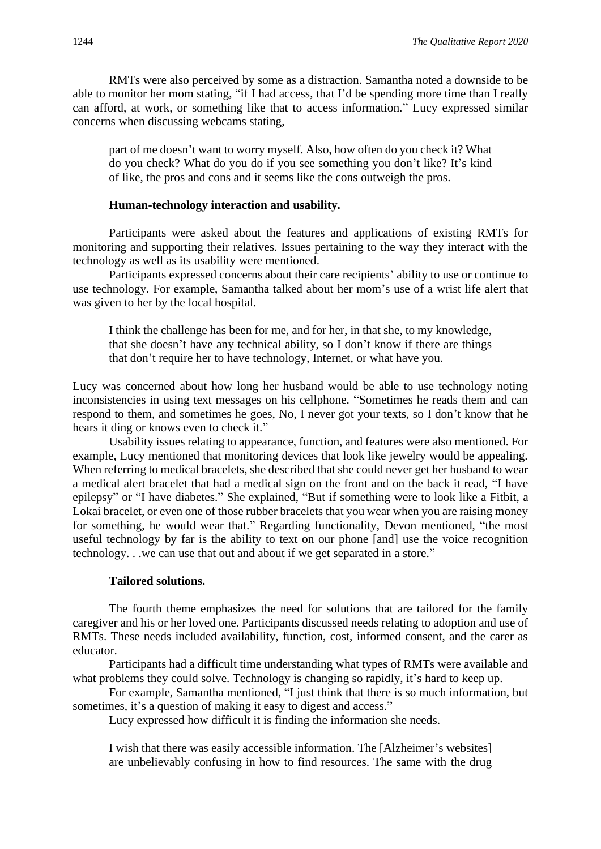RMTs were also perceived by some as a distraction. Samantha noted a downside to be able to monitor her mom stating, "if I had access, that I'd be spending more time than I really can afford, at work, or something like that to access information." Lucy expressed similar concerns when discussing webcams stating,

part of me doesn't want to worry myself. Also, how often do you check it? What do you check? What do you do if you see something you don't like? It's kind of like, the pros and cons and it seems like the cons outweigh the pros.

#### **Human-technology interaction and usability.**

Participants were asked about the features and applications of existing RMTs for monitoring and supporting their relatives. Issues pertaining to the way they interact with the technology as well as its usability were mentioned.

Participants expressed concerns about their care recipients' ability to use or continue to use technology. For example, Samantha talked about her mom's use of a wrist life alert that was given to her by the local hospital.

I think the challenge has been for me, and for her, in that she, to my knowledge, that she doesn't have any technical ability, so I don't know if there are things that don't require her to have technology, Internet, or what have you.

Lucy was concerned about how long her husband would be able to use technology noting inconsistencies in using text messages on his cellphone. "Sometimes he reads them and can respond to them, and sometimes he goes, No, I never got your texts, so I don't know that he hears it ding or knows even to check it."

Usability issues relating to appearance, function, and features were also mentioned. For example, Lucy mentioned that monitoring devices that look like jewelry would be appealing. When referring to medical bracelets, she described that she could never get her husband to wear a medical alert bracelet that had a medical sign on the front and on the back it read, "I have epilepsy" or "I have diabetes." She explained, "But if something were to look like a Fitbit, a Lokai bracelet, or even one of those rubber bracelets that you wear when you are raising money for something, he would wear that." Regarding functionality, Devon mentioned, "the most useful technology by far is the ability to text on our phone [and] use the voice recognition technology. . .we can use that out and about if we get separated in a store."

#### **Tailored solutions.**

The fourth theme emphasizes the need for solutions that are tailored for the family caregiver and his or her loved one. Participants discussed needs relating to adoption and use of RMTs. These needs included availability, function, cost, informed consent, and the carer as educator.

Participants had a difficult time understanding what types of RMTs were available and what problems they could solve. Technology is changing so rapidly, it's hard to keep up.

For example, Samantha mentioned, "I just think that there is so much information, but sometimes, it's a question of making it easy to digest and access."

Lucy expressed how difficult it is finding the information she needs.

I wish that there was easily accessible information. The [Alzheimer's websites] are unbelievably confusing in how to find resources. The same with the drug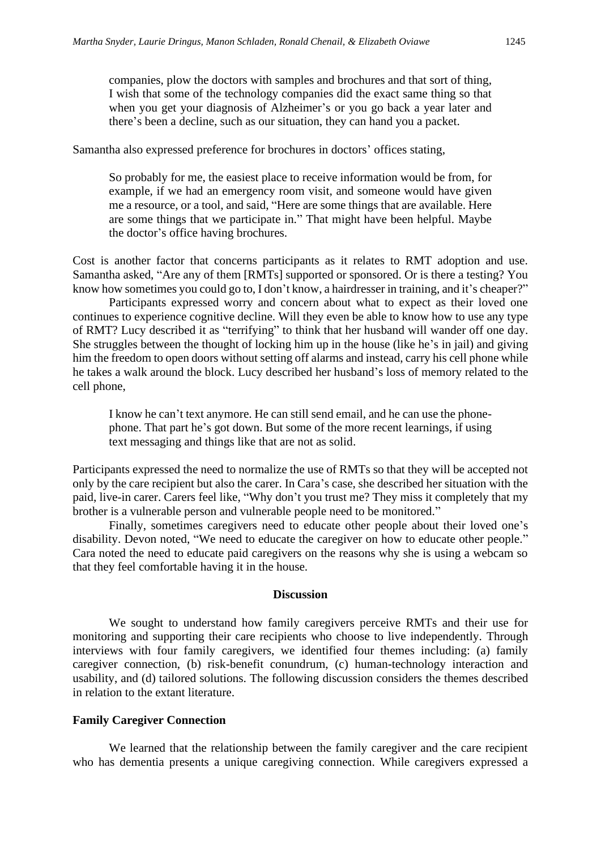companies, plow the doctors with samples and brochures and that sort of thing, I wish that some of the technology companies did the exact same thing so that when you get your diagnosis of Alzheimer's or you go back a year later and there's been a decline, such as our situation, they can hand you a packet.

Samantha also expressed preference for brochures in doctors' offices stating,

So probably for me, the easiest place to receive information would be from, for example, if we had an emergency room visit, and someone would have given me a resource, or a tool, and said, "Here are some things that are available. Here are some things that we participate in." That might have been helpful. Maybe the doctor's office having brochures.

Cost is another factor that concerns participants as it relates to RMT adoption and use. Samantha asked, "Are any of them [RMTs] supported or sponsored. Or is there a testing? You know how sometimes you could go to, I don't know, a hairdresser in training, and it's cheaper?"

Participants expressed worry and concern about what to expect as their loved one continues to experience cognitive decline. Will they even be able to know how to use any type of RMT? Lucy described it as "terrifying" to think that her husband will wander off one day. She struggles between the thought of locking him up in the house (like he's in jail) and giving him the freedom to open doors without setting off alarms and instead, carry his cell phone while he takes a walk around the block. Lucy described her husband's loss of memory related to the cell phone,

I know he can't text anymore. He can still send email, and he can use the phonephone. That part he's got down. But some of the more recent learnings, if using text messaging and things like that are not as solid.

Participants expressed the need to normalize the use of RMTs so that they will be accepted not only by the care recipient but also the carer. In Cara's case, she described her situation with the paid, live-in carer. Carers feel like, "Why don't you trust me? They miss it completely that my brother is a vulnerable person and vulnerable people need to be monitored."

Finally, sometimes caregivers need to educate other people about their loved one's disability. Devon noted, "We need to educate the caregiver on how to educate other people." Cara noted the need to educate paid caregivers on the reasons why she is using a webcam so that they feel comfortable having it in the house.

#### **Discussion**

We sought to understand how family caregivers perceive RMTs and their use for monitoring and supporting their care recipients who choose to live independently. Through interviews with four family caregivers, we identified four themes including: (a) family caregiver connection, (b) risk-benefit conundrum, (c) human-technology interaction and usability, and (d) tailored solutions. The following discussion considers the themes described in relation to the extant literature.

#### **Family Caregiver Connection**

We learned that the relationship between the family caregiver and the care recipient who has dementia presents a unique caregiving connection. While caregivers expressed a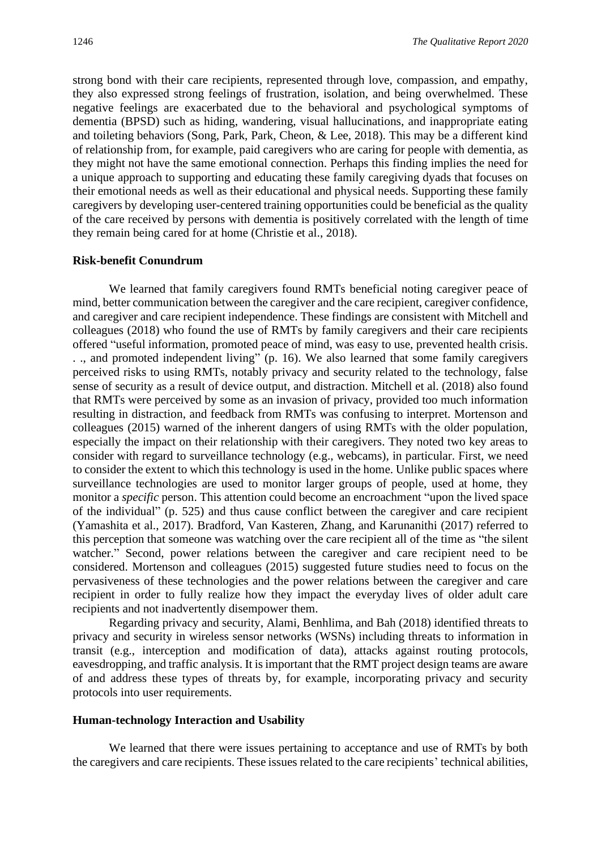strong bond with their care recipients, represented through love, compassion, and empathy, they also expressed strong feelings of frustration, isolation, and being overwhelmed. These negative feelings are exacerbated due to the behavioral and psychological symptoms of dementia (BPSD) such as hiding, wandering, visual hallucinations, and inappropriate eating and toileting behaviors (Song, Park, Park, Cheon, & Lee, 2018). This may be a different kind of relationship from, for example, paid caregivers who are caring for people with dementia, as they might not have the same emotional connection. Perhaps this finding implies the need for a unique approach to supporting and educating these family caregiving dyads that focuses on their emotional needs as well as their educational and physical needs. Supporting these family caregivers by developing user-centered training opportunities could be beneficial as the quality of the care received by persons with dementia is positively correlated with the length of time they remain being cared for at home (Christie et al., 2018).

#### **Risk-benefit Conundrum**

We learned that family caregivers found RMTs beneficial noting caregiver peace of mind, better communication between the caregiver and the care recipient, caregiver confidence, and caregiver and care recipient independence. These findings are consistent with Mitchell and colleagues (2018) who found the use of RMTs by family caregivers and their care recipients offered "useful information, promoted peace of mind, was easy to use, prevented health crisis. . ., and promoted independent living" (p. 16). We also learned that some family caregivers perceived risks to using RMTs, notably privacy and security related to the technology, false sense of security as a result of device output, and distraction. Mitchell et al. (2018) also found that RMTs were perceived by some as an invasion of privacy, provided too much information resulting in distraction, and feedback from RMTs was confusing to interpret. Mortenson and colleagues (2015) warned of the inherent dangers of using RMTs with the older population, especially the impact on their relationship with their caregivers. They noted two key areas to consider with regard to surveillance technology (e.g., webcams), in particular. First, we need to consider the extent to which this technology is used in the home. Unlike public spaces where surveillance technologies are used to monitor larger groups of people, used at home, they monitor a *specific* person. This attention could become an encroachment "upon the lived space of the individual" (p. 525) and thus cause conflict between the caregiver and care recipient (Yamashita et al., 2017). Bradford, Van Kasteren, Zhang, and Karunanithi (2017) referred to this perception that someone was watching over the care recipient all of the time as "the silent watcher." Second, power relations between the caregiver and care recipient need to be considered. Mortenson and colleagues (2015) suggested future studies need to focus on the pervasiveness of these technologies and the power relations between the caregiver and care recipient in order to fully realize how they impact the everyday lives of older adult care recipients and not inadvertently disempower them.

Regarding privacy and security, Alami, Benhlima, and Bah (2018) identified threats to privacy and security in wireless sensor networks (WSNs) including threats to information in transit (e.g., interception and modification of data), attacks against routing protocols, eavesdropping, and traffic analysis. It is important that the RMT project design teams are aware of and address these types of threats by, for example, incorporating privacy and security protocols into user requirements.

#### **Human-technology Interaction and Usability**

We learned that there were issues pertaining to acceptance and use of RMTs by both the caregivers and care recipients. These issues related to the care recipients' technical abilities,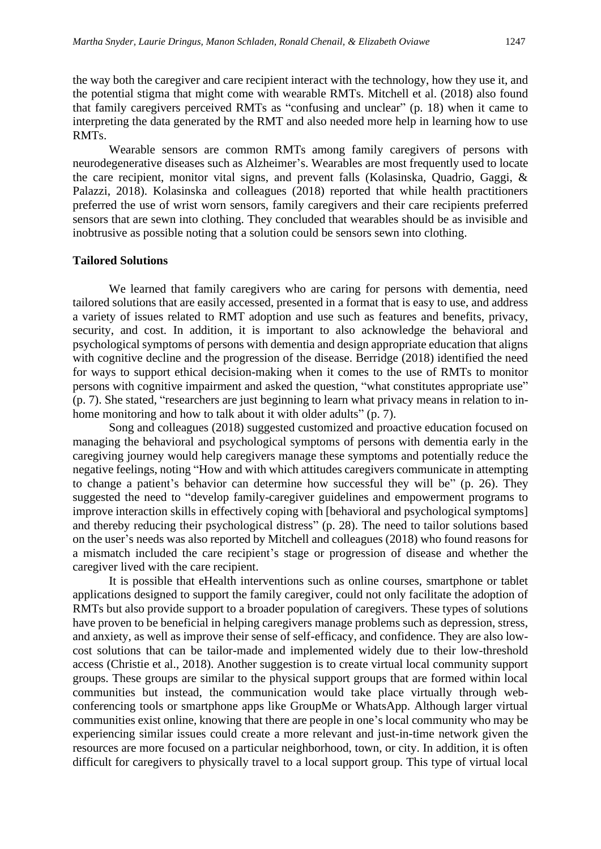the way both the caregiver and care recipient interact with the technology, how they use it, and the potential stigma that might come with wearable RMTs. Mitchell et al. (2018) also found that family caregivers perceived RMTs as "confusing and unclear" (p. 18) when it came to interpreting the data generated by the RMT and also needed more help in learning how to use RMTs.

Wearable sensors are common RMTs among family caregivers of persons with neurodegenerative diseases such as Alzheimer's. Wearables are most frequently used to locate the care recipient, monitor vital signs, and prevent falls (Kolasinska, Quadrio, Gaggi, & Palazzi, 2018). Kolasinska and colleagues (2018) reported that while health practitioners preferred the use of wrist worn sensors, family caregivers and their care recipients preferred sensors that are sewn into clothing. They concluded that wearables should be as invisible and inobtrusive as possible noting that a solution could be sensors sewn into clothing.

#### **Tailored Solutions**

We learned that family caregivers who are caring for persons with dementia, need tailored solutions that are easily accessed, presented in a format that is easy to use, and address a variety of issues related to RMT adoption and use such as features and benefits, privacy, security, and cost. In addition, it is important to also acknowledge the behavioral and psychological symptoms of persons with dementia and design appropriate education that aligns with cognitive decline and the progression of the disease. Berridge (2018) identified the need for ways to support ethical decision-making when it comes to the use of RMTs to monitor persons with cognitive impairment and asked the question, "what constitutes appropriate use" (p. 7). She stated, "researchers are just beginning to learn what privacy means in relation to inhome monitoring and how to talk about it with older adults" (p. 7).

Song and colleagues (2018) suggested customized and proactive education focused on managing the behavioral and psychological symptoms of persons with dementia early in the caregiving journey would help caregivers manage these symptoms and potentially reduce the negative feelings, noting "How and with which attitudes caregivers communicate in attempting to change a patient's behavior can determine how successful they will be" (p. 26). They suggested the need to "develop family-caregiver guidelines and empowerment programs to improve interaction skills in effectively coping with [behavioral and psychological symptoms] and thereby reducing their psychological distress" (p. 28). The need to tailor solutions based on the user's needs was also reported by Mitchell and colleagues (2018) who found reasons for a mismatch included the care recipient's stage or progression of disease and whether the caregiver lived with the care recipient.

It is possible that eHealth interventions such as online courses, smartphone or tablet applications designed to support the family caregiver, could not only facilitate the adoption of RMTs but also provide support to a broader population of caregivers. These types of solutions have proven to be beneficial in helping caregivers manage problems such as depression, stress, and anxiety, as well as improve their sense of self-efficacy, and confidence. They are also lowcost solutions that can be tailor-made and implemented widely due to their low-threshold access (Christie et al., 2018). Another suggestion is to create virtual local community support groups. These groups are similar to the physical support groups that are formed within local communities but instead, the communication would take place virtually through webconferencing tools or smartphone apps like GroupMe or WhatsApp. Although larger virtual communities exist online, knowing that there are people in one's local community who may be experiencing similar issues could create a more relevant and just-in-time network given the resources are more focused on a particular neighborhood, town, or city. In addition, it is often difficult for caregivers to physically travel to a local support group. This type of virtual local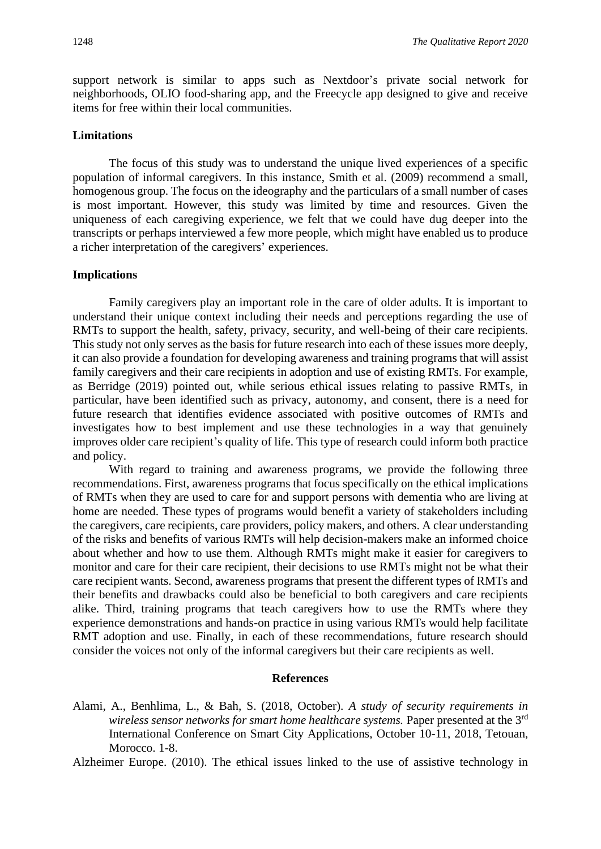support network is similar to apps such as Nextdoor's private social network for neighborhoods, OLIO food-sharing app, and the Freecycle app designed to give and receive items for free within their local communities.

#### **Limitations**

The focus of this study was to understand the unique lived experiences of a specific population of informal caregivers. In this instance, Smith et al. (2009) recommend a small, homogenous group. The focus on the ideography and the particulars of a small number of cases is most important. However, this study was limited by time and resources. Given the uniqueness of each caregiving experience, we felt that we could have dug deeper into the transcripts or perhaps interviewed a few more people, which might have enabled us to produce a richer interpretation of the caregivers' experiences.

#### **Implications**

Family caregivers play an important role in the care of older adults. It is important to understand their unique context including their needs and perceptions regarding the use of RMTs to support the health, safety, privacy, security, and well-being of their care recipients. This study not only serves as the basis for future research into each of these issues more deeply, it can also provide a foundation for developing awareness and training programs that will assist family caregivers and their care recipients in adoption and use of existing RMTs. For example, as Berridge (2019) pointed out, while serious ethical issues relating to passive RMTs, in particular, have been identified such as privacy, autonomy, and consent, there is a need for future research that identifies evidence associated with positive outcomes of RMTs and investigates how to best implement and use these technologies in a way that genuinely improves older care recipient's quality of life. This type of research could inform both practice and policy.

With regard to training and awareness programs, we provide the following three recommendations. First, awareness programs that focus specifically on the ethical implications of RMTs when they are used to care for and support persons with dementia who are living at home are needed. These types of programs would benefit a variety of stakeholders including the caregivers, care recipients, care providers, policy makers, and others. A clear understanding of the risks and benefits of various RMTs will help decision-makers make an informed choice about whether and how to use them. Although RMTs might make it easier for caregivers to monitor and care for their care recipient, their decisions to use RMTs might not be what their care recipient wants. Second, awareness programs that present the different types of RMTs and their benefits and drawbacks could also be beneficial to both caregivers and care recipients alike. Third, training programs that teach caregivers how to use the RMTs where they experience demonstrations and hands-on practice in using various RMTs would help facilitate RMT adoption and use. Finally, in each of these recommendations, future research should consider the voices not only of the informal caregivers but their care recipients as well.

#### **References**

Alami, A., Benhlima, L., & Bah, S. (2018, October). *A study of security requirements in wireless sensor networks for smart home healthcare systems.* Paper presented at the 3rd International Conference on Smart City Applications, October 10-11, 2018, Tetouan, Morocco. 1-8.

Alzheimer Europe. (2010). The ethical issues linked to the use of assistive technology in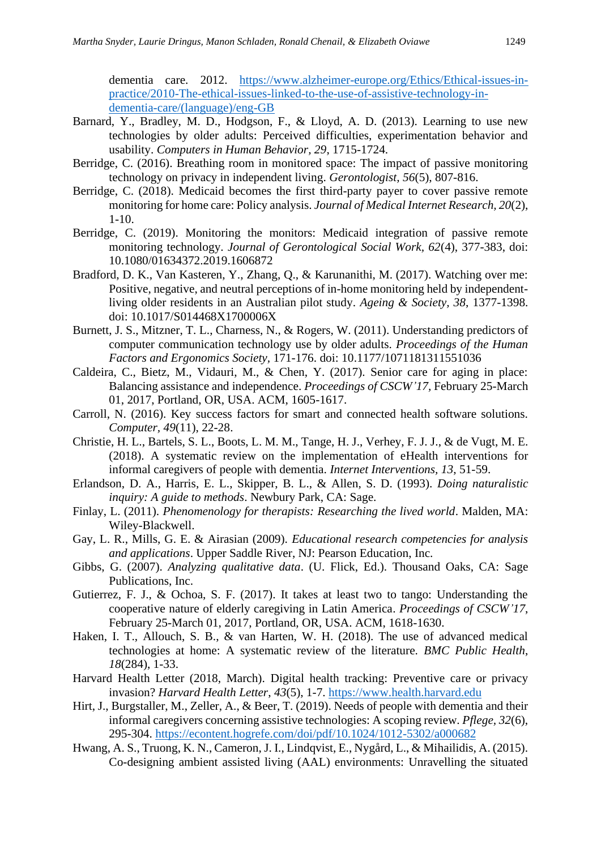dementia care. 2012. [https://www.alzheimer-europe.org/Ethics/Ethical-issues-in](https://www.alzheimer-europe.org/Ethics/Ethical-issues-in-practice/2010-The-ethical-issues-linked-to-the-use-of-assistive-technology-in-dementia-care/(language)/eng-GB)[practice/2010-The-ethical-issues-linked-to-the-use-of-assistive-technology-in](https://www.alzheimer-europe.org/Ethics/Ethical-issues-in-practice/2010-The-ethical-issues-linked-to-the-use-of-assistive-technology-in-dementia-care/(language)/eng-GB)[dementia-care/\(language\)/eng-GB](https://www.alzheimer-europe.org/Ethics/Ethical-issues-in-practice/2010-The-ethical-issues-linked-to-the-use-of-assistive-technology-in-dementia-care/(language)/eng-GB)

- Barnard, Y., Bradley, M. D., Hodgson, F., & Lloyd, A. D. (2013). Learning to use new technologies by older adults: Perceived difficulties, experimentation behavior and usability. *Computers in Human Behavior, 29*, 1715-1724.
- Berridge, C. (2016). Breathing room in monitored space: The impact of passive monitoring technology on privacy in independent living. *Gerontologist, 56*(5), 807-816.
- Berridge, C. (2018). Medicaid becomes the first third-party payer to cover passive remote monitoring for home care: Policy analysis. *Journal of Medical Internet Research, 20*(2), 1-10.
- Berridge, C. (2019). Monitoring the monitors: Medicaid integration of passive remote monitoring technology. *Journal of Gerontological Social Work, 62*(4), 377-383, doi: 10.1080/01634372.2019.1606872
- Bradford, D. K., Van Kasteren, Y., Zhang, Q., & Karunanithi, M. (2017). Watching over me: Positive, negative, and neutral perceptions of in-home monitoring held by independentliving older residents in an Australian pilot study. *Ageing & Society, 38*, 1377-1398. doi: 10.1017/S014468X1700006X
- Burnett, J. S., Mitzner, T. L., Charness, N., & Rogers, W. (2011). Understanding predictors of computer communication technology use by older adults. *Proceedings of the Human Factors and Ergonomics Society,* 171-176. doi: 10.1177/1071181311551036
- Caldeira, C., Bietz, M., Vidauri, M., & Chen, Y. (2017). Senior care for aging in place: Balancing assistance and independence. *Proceedings of CSCW'17,* February 25-March 01, 2017, Portland, OR, USA. ACM, 1605-1617.
- Carroll, N. (2016). Key success factors for smart and connected health software solutions. *Computer, 49*(11), 22-28.
- Christie, H. L., Bartels, S. L., Boots, L. M. M., Tange, H. J., Verhey, F. J. J., & de Vugt, M. E. (2018). A systematic review on the implementation of eHealth interventions for informal caregivers of people with dementia. *Internet Interventions, 13*, 51-59.
- Erlandson, D. A., Harris, E. L., Skipper, B. L., & Allen, S. D. (1993). *Doing naturalistic inquiry: A guide to methods*. Newbury Park, CA: Sage.
- Finlay, L. (2011). *Phenomenology for therapists: Researching the lived world*. Malden, MA: Wiley-Blackwell.
- Gay, L. R., Mills, G. E. & Airasian (2009). *Educational research competencies for analysis and applications*. Upper Saddle River, NJ: Pearson Education, Inc.
- Gibbs, G. (2007). *Analyzing qualitative data*. (U. Flick, Ed.). Thousand Oaks, CA: Sage Publications, Inc.
- Gutierrez, F. J., & Ochoa, S. F. (2017). It takes at least two to tango: Understanding the cooperative nature of elderly caregiving in Latin America. *Proceedings of CSCW'17*, February 25-March 01, 2017, Portland, OR, USA. ACM, 1618-1630.
- Haken, I. T., Allouch, S. B., & van Harten, W. H. (2018). The use of advanced medical technologies at home: A systematic review of the literature. *BMC Public Health*, *18*(284), 1-33.
- Harvard Health Letter (2018, March). Digital health tracking: Preventive care or privacy invasion? *Harvard Health Letter*, *43*(5), 1-7. [https://www.health.harvard.edu](https://www.health.harvard.edu/)
- Hirt, J., Burgstaller, M., Zeller, A., & Beer, T. (2019). Needs of people with dementia and their informal caregivers concerning assistive technologies: A scoping review. *Pflege, 32*(6), 295-304.<https://econtent.hogrefe.com/doi/pdf/10.1024/1012-5302/a000682>
- Hwang, A. S., Truong, K. N., Cameron, J. I., Lindqvist, E., Nygård, L., & Mihailidis, A. (2015). Co-designing ambient assisted living (AAL) environments: Unravelling the situated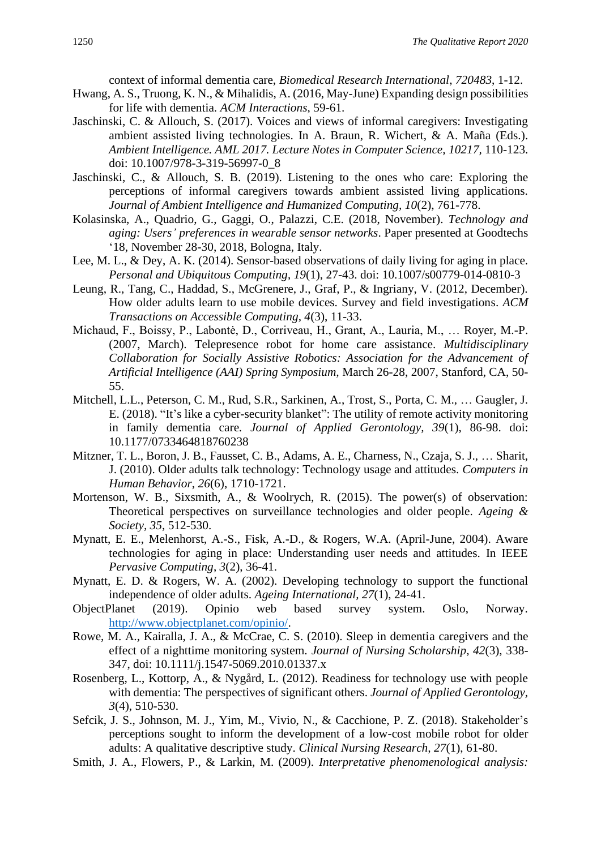context of informal dementia care, *Biomedical Research International*, *720483*, 1-12.

- Hwang, A. S., Truong, K. N., & Mihalidis, A. (2016, May-June) Expanding design possibilities for life with dementia. *ACM Interactions*, 59-61.
- Jaschinski, C. & Allouch, S. (2017). Voices and views of informal caregivers: Investigating ambient assisted living technologies. In A. Braun, R. Wichert, & A. Maña (Eds.). *Ambient Intelligence. AML 2017. Lecture Notes in Computer Science, 10217,* 110-123. doi: 10.1007/978-3-319-56997-0\_8
- Jaschinski, C., & Allouch, S. B. (2019). Listening to the ones who care: Exploring the perceptions of informal caregivers towards ambient assisted living applications. *Journal of Ambient Intelligence and Humanized Computing, 10*(2), 761-778.
- Kolasinska, A., Quadrio, G., Gaggi, O., Palazzi, C.E. (2018, November). *Technology and aging: Users' preferences in wearable sensor networks*. Paper presented at Goodtechs '18, November 28-30, 2018, Bologna, Italy.
- Lee, M. L., & Dey, A. K. (2014). Sensor-based observations of daily living for aging in place. *Personal and Ubiquitous Computing*, *19*(1), 27-43. doi: 10.1007/s00779-014-0810-3
- Leung, R., Tang, C., Haddad, S., McGrenere, J., Graf, P., & Ingriany, V. (2012, December). How older adults learn to use mobile devices. Survey and field investigations. *ACM Transactions on Accessible Computing, 4*(3), 11-33.
- Michaud, F., Boissy, P., Labontė, D., Corriveau, H., Grant, A., Lauria, M., … Royer, M.-P. (2007, March). Telepresence robot for home care assistance. *Multidisciplinary Collaboration for Socially Assistive Robotics: Association for the Advancement of Artificial Intelligence (AAI) Spring Symposium,* March 26-28, 2007, Stanford, CA, 50- 55.
- Mitchell, L.L., Peterson, C. M., Rud, S.R., Sarkinen, A., Trost, S., Porta, C. M., … Gaugler, J. E. (2018). "It's like a cyber-security blanket": The utility of remote activity monitoring in family dementia care*. Journal of Applied Gerontology, 39*(1), 86-98. doi: 10.1177/0733464818760238
- Mitzner, T. L., Boron, J. B., Fausset, C. B., Adams, A. E., Charness, N., Czaja, S. J., … Sharit, J. (2010). Older adults talk technology: Technology usage and attitudes. *Computers in Human Behavior*, *26*(6), 1710-1721.
- Mortenson, W. B., Sixsmith, A., & Woolrych, R. (2015). The power(s) of observation: Theoretical perspectives on surveillance technologies and older people. *Ageing & Society, 35*, 512-530.
- Mynatt, E. E., Melenhorst, A.-S., Fisk, A.-D., & Rogers, W.A. (April-June, 2004). Aware technologies for aging in place: Understanding user needs and attitudes. In IEEE *Pervasive Computing*, *3*(2), 36-41.
- Mynatt, E. D. & Rogers, W. A. (2002). Developing technology to support the functional independence of older adults. *Ageing International, 27*(1), 24-41.
- ObjectPlanet (2019). Opinio web based survey system. Oslo, Norway. [http://www.objectplanet.com/opinio/.](http://www.objectplanet.com/opinio/)
- Rowe, M. A., Kairalla, J. A., & McCrae, C. S. (2010). Sleep in dementia caregivers and the effect of a nighttime monitoring system. *Journal of Nursing Scholarship, 42*(3), 338- 347, doi: 10.1111/j.1547-5069.2010.01337.x
- Rosenberg, L., Kottorp, A., & Nygård, L. (2012). Readiness for technology use with people with dementia: The perspectives of significant others. *Journal of Applied Gerontology, 3*(4), 510-530.
- Sefcik, J. S., Johnson, M. J., Yim, M., Vivio, N., & Cacchione, P. Z. (2018). Stakeholder's perceptions sought to inform the development of a low-cost mobile robot for older adults: A qualitative descriptive study. *Clinical Nursing Research, 27*(1), 61-80.
- Smith, J. A., Flowers, P., & Larkin, M. (2009). *Interpretative phenomenological analysis:*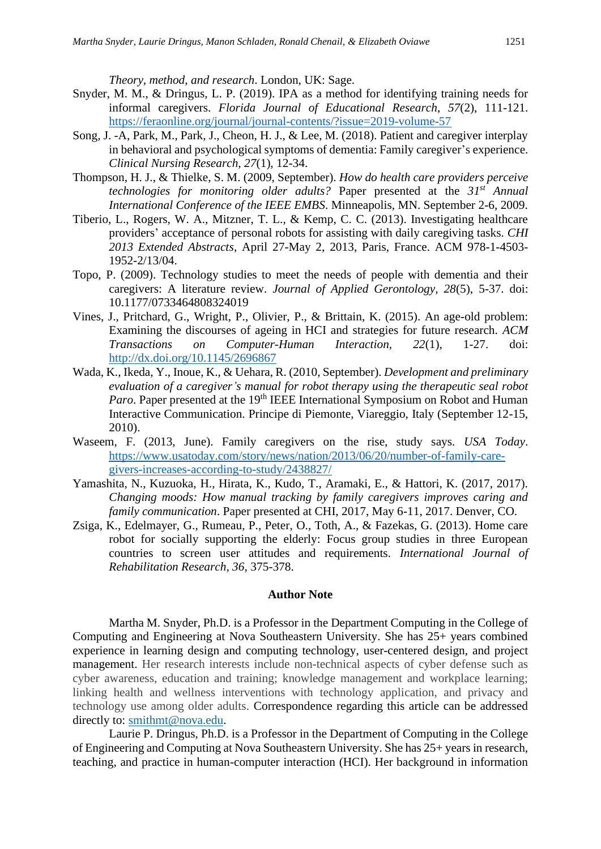*Theory, method, and research*. London, UK: Sage.

- Snyder, M. M., & Dringus, L. P. (2019). IPA as a method for identifying training needs for informal caregivers. *Florida Journal of Educational Research*, *57*(2), 111-121. <https://feraonline.org/journal/journal-contents/?issue=2019-volume-57>
- Song, J. -A, Park, M., Park, J., Cheon, H. J., & Lee, M. (2018). Patient and caregiver interplay in behavioral and psychological symptoms of dementia: Family caregiver's experience. *Clinical Nursing Research, 27*(1), 12-34.
- Thompson, H. J., & Thielke, S. M. (2009, September). *How do health care providers perceive technologies for monitoring older adults?* Paper presented at the *31st Annual International Conference of the IEEE EMBS*. Minneapolis, MN. September 2-6, 2009.
- Tiberio, L., Rogers, W. A., Mitzner, T. L., & Kemp, C. C. (2013). Investigating healthcare providers' acceptance of personal robots for assisting with daily caregiving tasks. *CHI 2013 Extended Abstracts*, April 27-May 2, 2013, Paris, France. ACM 978-1-4503- 1952-2/13/04.
- Topo, P. (2009). Technology studies to meet the needs of people with dementia and their caregivers: A literature review. *Journal of Applied Gerontology, 28*(5), 5-37. doi: 10.1177/0733464808324019
- Vines, J., Pritchard, G., Wright, P., Olivier, P., & Brittain, K. (2015). An age-old problem: Examining the discourses of ageing in HCI and strategies for future research. *ACM Transactions on Computer-Human Interaction, 22*(1), 1-27. doi: <http://dx.doi.org/10.1145/2696867>
- Wada, K., Ikeda, Y., Inoue, K., & Uehara, R. (2010, September). *Development and preliminary evaluation of a caregiver's manual for robot therapy using the therapeutic seal robot Paro*. Paper presented at the 19<sup>th</sup> IEEE International Symposium on Robot and Human Interactive Communication. Principe di Piemonte, Viareggio, Italy (September 12-15, 2010).
- Waseem, F. (2013, June). Family caregivers on the rise, study says. *USA Today*. [https://www.usatoday.com/story/news/nation/2013/06/20/number-of-family-care](https://www.usatoday.com/story/news/nation/2013/06/20/number-of-family-care-givers-increases-according-to-study/2438827/)[givers-increases-according-to-study/2438827/](https://www.usatoday.com/story/news/nation/2013/06/20/number-of-family-care-givers-increases-according-to-study/2438827/)
- Yamashita, N., Kuzuoka, H., Hirata, K., Kudo, T., Aramaki, E., & Hattori, K. (2017, 2017). *Changing moods: How manual tracking by family caregivers improves caring and family communication*. Paper presented at CHI, 2017, May 6-11, 2017. Denver, CO.
- Zsiga, K., Edelmayer, G., Rumeau, P., Peter, O., Toth, A., & Fazekas, G. (2013). Home care robot for socially supporting the elderly: Focus group studies in three European countries to screen user attitudes and requirements. *International Journal of Rehabilitation Research, 36*, 375-378.

#### **Author Note**

Martha M. Snyder, Ph.D. is a Professor in the Department Computing in the College of Computing and Engineering at Nova Southeastern University. She has 25+ years combined experience in learning design and computing technology, user-centered design, and project management. Her research interests include non-technical aspects of cyber defense such as cyber awareness, education and training; knowledge management and workplace learning; linking health and wellness interventions with technology application, and privacy and technology use among older adults. Correspondence regarding this article can be addressed directly to: [smithmt@nova.edu.](mailto:smithmt@nova.edu)

Laurie P. Dringus, Ph.D. is a Professor in the Department of Computing in the College of Engineering and Computing at Nova Southeastern University. She has 25+ years in research, teaching, and practice in human-computer interaction (HCI). Her background in information